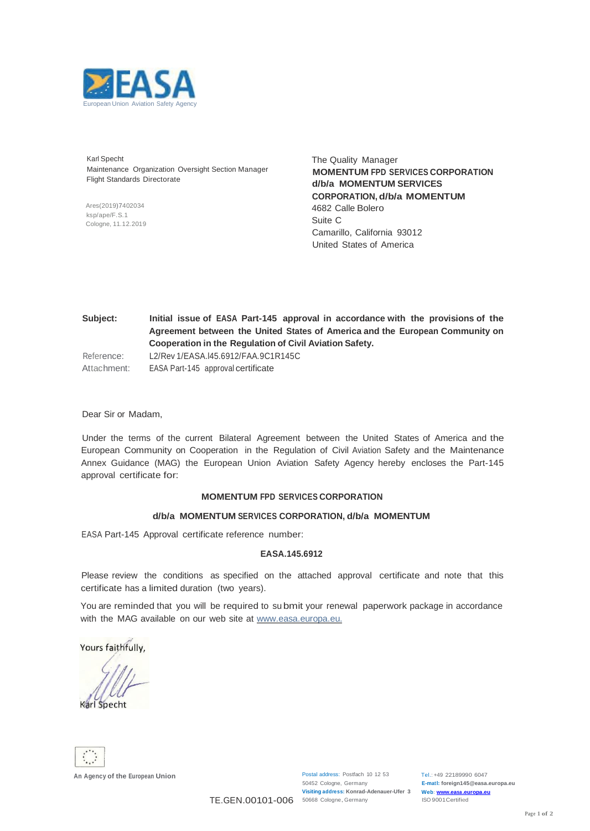

Karl Specht Maintenance Organization Oversight Section Manager Flight Standards Directorate

Ares(2019)7402034 ksp/ape/F.S.1 Cologne, 11.12.2019

The Quality Manager **MOMENTUM FPD SERVICES CORPORATION d/b/a MOMENTUM SERVICES CORPORATION, d/b/a MOMENTUM** 4682 Calle Bolero Suite C Camarillo, California 93012 United States of America

**Subject: Initial issue of EASA Part-145 approval in accordance with the provisions of the Agreement between the United States of America and the European Community on Cooperation in the Regulation of Civil Aviation Safety.** Reference: Attachment: L2/Rev 1/EASA.l45.6912/FAA.9C1R145C EASA Part-145 approval certificate

Dear Sir or Madam,

Under the terms of the current Bilateral Agreement between the United States of America and the European Community on Cooperation in the Regulation of Civil Aviation Safety and the Maintenance Annex Guidance (MAG) the European Union Aviation Safety Agency hereby encloses the Part-145 approval certificate for:

### **MOMENTUM FPD SERVICES CORPORATION**

#### **d/b/a MOMENTUM SERVICES CORPORATION, d/b/a MOMENTUM**

EASA Part-145 Approval certificate reference number:

#### **EASA.145.6912**

Please review the conditions as specified on the attached approval certificate and note that this certificate has a limited duration (two years).

You are reminded that you will be required to su bmit your renewal paperwork package in accordance with the MAG available on our web site at www.easa.europa.eu.

Yours faithfully,

Karl Specht



TE.GEN.00101-006 50668 Cologne, Germany

Postal address: Postfach 10 12 53 50452 Cologne, Germany **Visiting address: Konrad-Adenauer-Ufer 3**

Tel.: +49 22189990 6047 **E-matl: [foreign145@easa.europa.eu](mailto:foreign145@easa.europa.eu) Web: www.easa.europa.eu** ISO 9001Certified